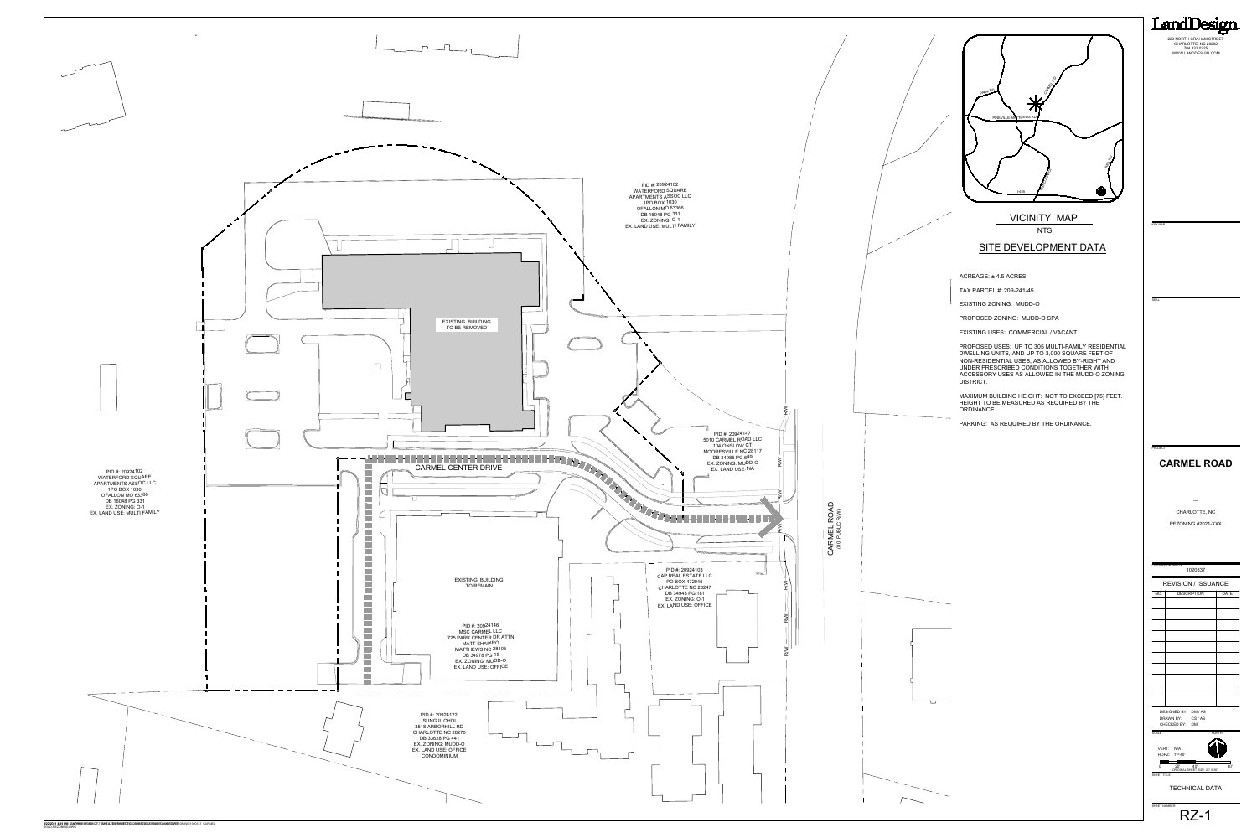**NTS** VICINITY MAP

# **CARMEL ROAD**



---

CHARLOTTE, NC REZONING #2021-XXX



KEY MAP

SEAL

| LANDDESIGN PROJ.#<br>1020337                               |              |
|------------------------------------------------------------|--------------|
| <b>REVISION / ISSUANCE</b>                                 |              |
| NO.<br><b>DESCRIPTION</b>                                  | <b>DATE</b>  |
|                                                            |              |
|                                                            |              |
|                                                            |              |
|                                                            |              |
|                                                            |              |
|                                                            |              |
|                                                            |              |
|                                                            |              |
|                                                            |              |
|                                                            |              |
|                                                            |              |
| DESIGNED BY: DM / AS                                       |              |
| DRAWN BY:<br>CS/AS                                         |              |
| CHECKED BY:<br><b>DM</b><br><b>SCALE</b>                   | <b>NORTH</b> |
|                                                            |              |
| VERT: N/A                                                  |              |
| $1" = 40'$<br>HORZ:                                        |              |
| 40'<br>$20^{\circ}$<br>0<br>ORIGINAL SHEET SIZE: 24" X 36" | 80'          |
| SHEET TITLE                                                |              |
| <b>TECHNICAL DATA</b>                                      |              |

PROJECT

223 NORTH GRAHAM STREET CHARLOTTE, NC 28202 704.333.0325 WWW.LANDDESIGN.COM

LandDesign.

### SITE DEVELOPMENT DATA

ACREAGE: ± 4.5 ACRES

TAX PARCEL #: 209-241-45

EXISTING ZONING: MUDD-O

PROPOSED ZONING: MUDD-O SPA

EXISTING USES: COMMERCIAL / VACANT

PROPOSED USES: UP TO 305 MULTI-FAMILY RESIDENTIAL DWELLING UNITS, AND UP TO 3,000 SQUARE FEET OF NON-RESIDENTIAL USES, AS ALLOWED BY-RIGHT AND UNDER PRESCRIBED CONDITIONS TOGETHER WITH ACCESSORY USES AS ALLOWED IN THE MUDD-O ZONING DISTRICT.

MAXIMUM BUILDING HEIGHT: NOT TO EXCEED [75] FEET. HEIGHT TO BE MEASURED AS REQUIRED BY THE ORDINANCE.

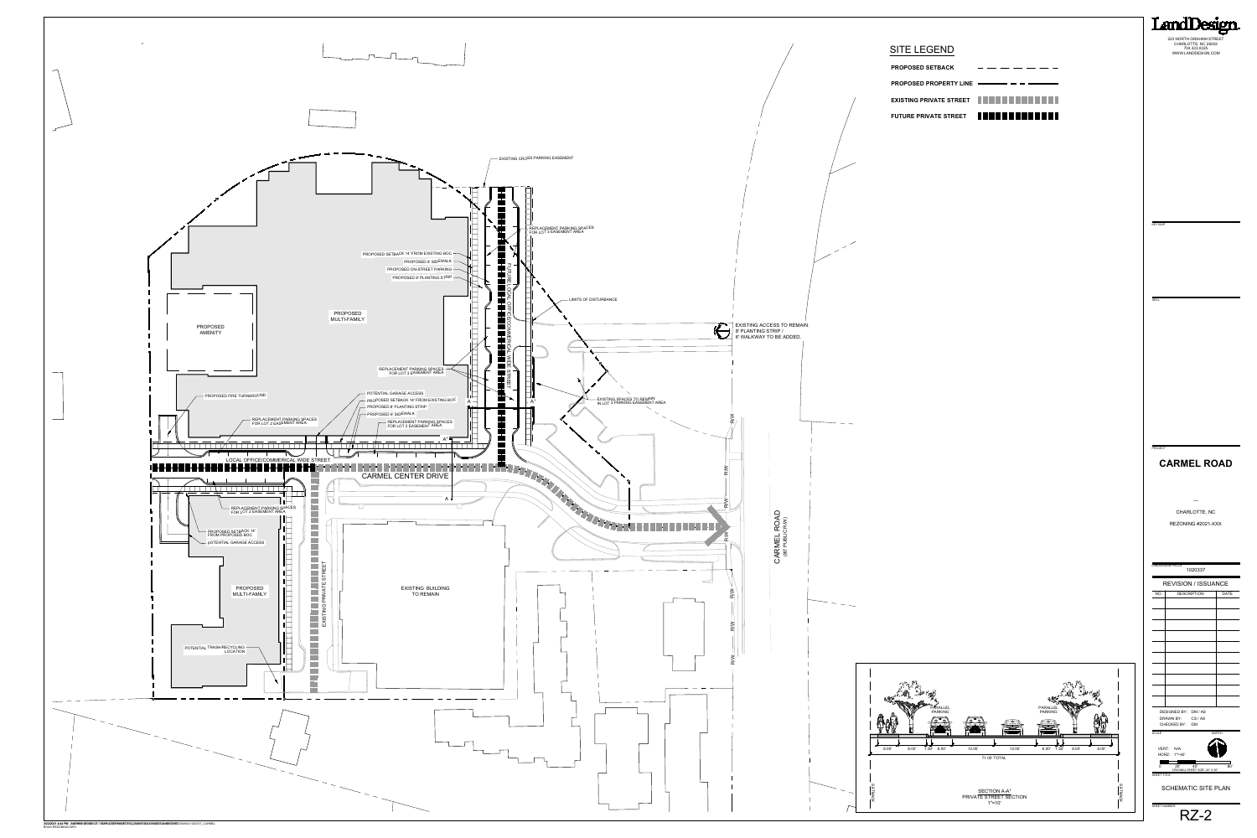# **CARMEL ROAD**

--- CHARLOTTE, NC REZONING #2021-XXX

RZ-2

Land mor 223 NORTH GRAHAM STREET CHARLOTTE, NC 28202 704.333.0325 WWW.LANDDESIGN.COM



KEY MAP

SEAL

PROJECT



| <b>PROPOSED SETBACK</b>                                                 |  |
|-------------------------------------------------------------------------|--|
| <b>PROPOSED PROPERTY LINE -</b>                                         |  |
| EXISTING PRIVATE STREET <b>THE REAL PRIVATE STREET AND REAL PRIVATE</b> |  |
| FUTURE PRIVATE STREET <b>THE REAL PRIVATE</b>                           |  |